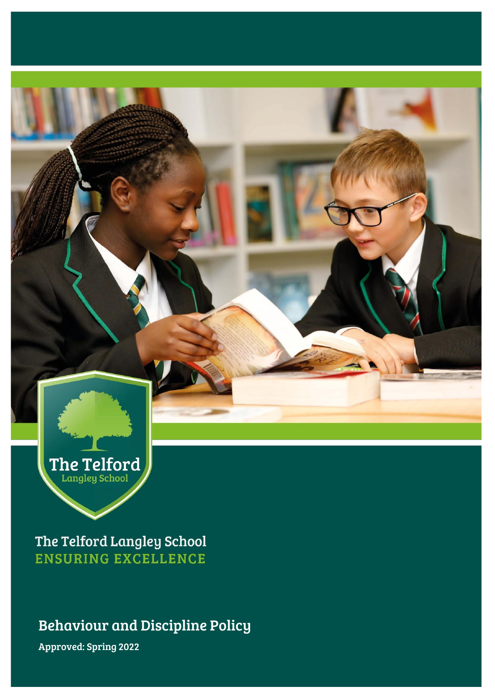

The Telford Langley School **ENSURING EXCELLENCE** 

Behaviour and Discipline Policy

Approved: Spring 2022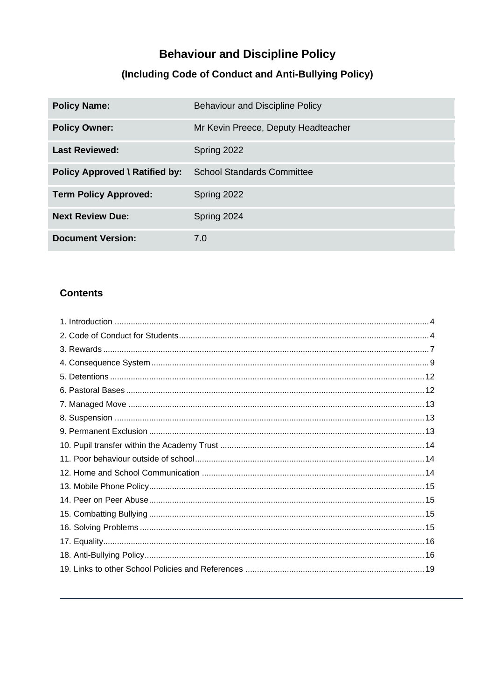# **Behaviour and Discipline Policy**

# (Including Code of Conduct and Anti-Bullying Policy)

| <b>Policy Name:</b>                   | <b>Behaviour and Discipline Policy</b> |
|---------------------------------------|----------------------------------------|
| <b>Policy Owner:</b>                  | Mr Kevin Preece, Deputy Headteacher    |
| <b>Last Reviewed:</b>                 | Spring 2022                            |
| <b>Policy Approved \ Ratified by:</b> | <b>School Standards Committee</b>      |
| <b>Term Policy Approved:</b>          | Spring 2022                            |
| <b>Next Review Due:</b>               | Spring 2024                            |
| <b>Document Version:</b>              | 7.0                                    |

### **Contents**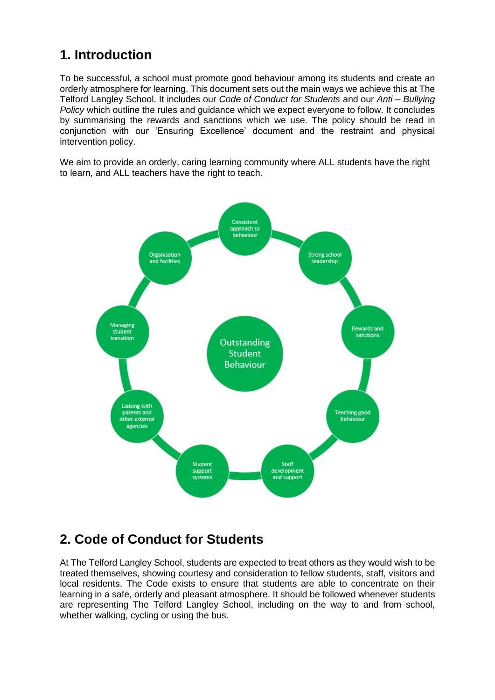# <span id="page-3-0"></span>**1. Introduction**

To be successful, a school must promote good behaviour among its students and create an orderly atmosphere for learning. This document sets out the main ways we achieve this at The Telford Langley School. It includes our *Code of Conduct for Students* and our *Anti – Bullying Policy* which outline the rules and guidance which we expect everyone to follow. It concludes by summarising the rewards and sanctions which we use. The policy should be read in conjunction with our 'Ensuring Excellence' document and the restraint and physical intervention policy.

We aim to provide an orderly, caring learning community where ALL students have the right to learn, and ALL teachers have the right to teach.



## <span id="page-3-1"></span>**2. Code of Conduct for Students**

At The Telford Langley School, students are expected to treat others as they would wish to be treated themselves, showing courtesy and consideration to fellow students, staff, visitors and local residents. The Code exists to ensure that students are able to concentrate on their learning in a safe, orderly and pleasant atmosphere. It should be followed whenever students are representing The Telford Langley School, including on the way to and from school, whether walking, cycling or using the bus.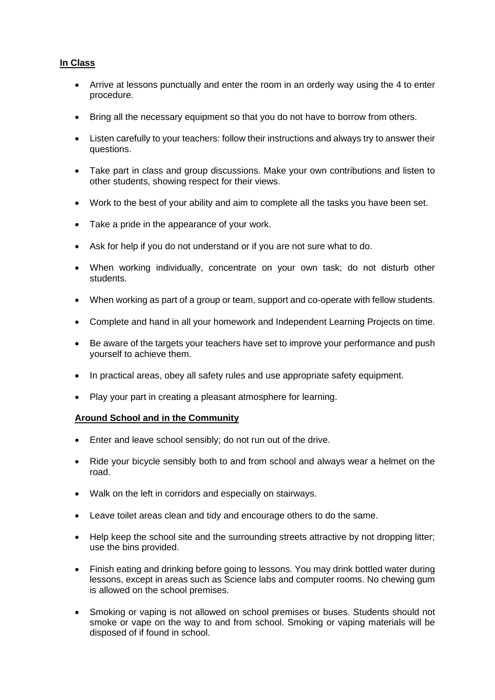### **In Class**

- Arrive at lessons punctually and enter the room in an orderly way using the 4 to enter procedure.
- Bring all the necessary equipment so that you do not have to borrow from others.
- Listen carefully to your teachers: follow their instructions and always try to answer their questions.
- Take part in class and group discussions. Make your own contributions and listen to other students, showing respect for their views.
- Work to the best of your ability and aim to complete all the tasks you have been set.
- Take a pride in the appearance of your work.
- Ask for help if you do not understand or if you are not sure what to do.
- When working individually, concentrate on your own task; do not disturb other students.
- When working as part of a group or team, support and co-operate with fellow students.
- Complete and hand in all your homework and Independent Learning Projects on time.
- Be aware of the targets your teachers have set to improve your performance and push yourself to achieve them.
- In practical areas, obey all safety rules and use appropriate safety equipment.
- Play your part in creating a pleasant atmosphere for learning.

### **Around School and in the Community**

- Enter and leave school sensibly; do not run out of the drive.
- Ride your bicycle sensibly both to and from school and always wear a helmet on the road.
- Walk on the left in corridors and especially on stairways.
- Leave toilet areas clean and tidy and encourage others to do the same.
- Help keep the school site and the surrounding streets attractive by not dropping litter; use the bins provided.
- Finish eating and drinking before going to lessons. You may drink bottled water during lessons, except in areas such as Science labs and computer rooms. No chewing gum is allowed on the school premises.
- Smoking or vaping is not allowed on school premises or buses. Students should not smoke or vape on the way to and from school. Smoking or vaping materials will be disposed of if found in school.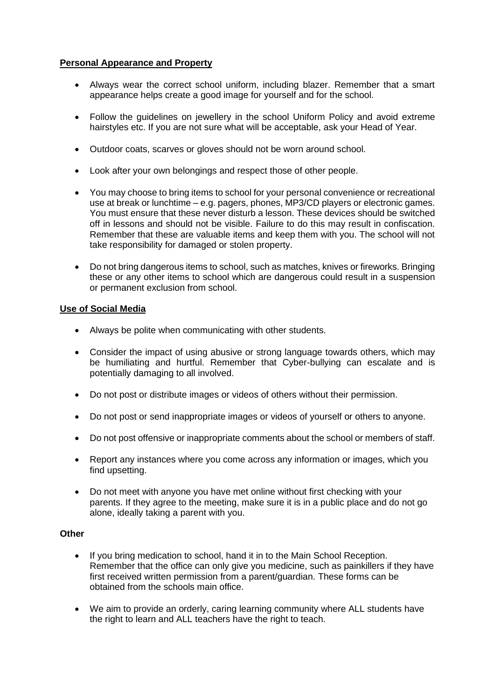### **Personal Appearance and Property**

- Always wear the correct school uniform, including blazer. Remember that a smart appearance helps create a good image for yourself and for the school.
- Follow the guidelines on jewellery in the school Uniform Policy and avoid extreme hairstyles etc. If you are not sure what will be acceptable, ask your Head of Year.
- Outdoor coats, scarves or gloves should not be worn around school.
- Look after your own belongings and respect those of other people.
- You may choose to bring items to school for your personal convenience or recreational use at break or lunchtime – e.g. pagers, phones, MP3/CD players or electronic games. You must ensure that these never disturb a lesson. These devices should be switched off in lessons and should not be visible. Failure to do this may result in confiscation. Remember that these are valuable items and keep them with you. The school will not take responsibility for damaged or stolen property.
- Do not bring dangerous items to school, such as matches, knives or fireworks. Bringing these or any other items to school which are dangerous could result in a suspension or permanent exclusion from school.

### **Use of Social Media**

- Always be polite when communicating with other students.
- Consider the impact of using abusive or strong language towards others, which may be humiliating and hurtful. Remember that Cyber-bullying can escalate and is potentially damaging to all involved.
- Do not post or distribute images or videos of others without their permission.
- Do not post or send inappropriate images or videos of yourself or others to anyone.
- Do not post offensive or inappropriate comments about the school or members of staff.
- Report any instances where you come across any information or images, which you find upsetting.
- Do not meet with anyone you have met online without first checking with your parents. If they agree to the meeting, make sure it is in a public place and do not go alone, ideally taking a parent with you.

### **Other**

- If you bring medication to school, hand it in to the Main School Reception. Remember that the office can only give you medicine, such as painkillers if they have first received written permission from a parent/guardian. These forms can be obtained from the schools main office.
- We aim to provide an orderly, caring learning community where ALL students have the right to learn and ALL teachers have the right to teach.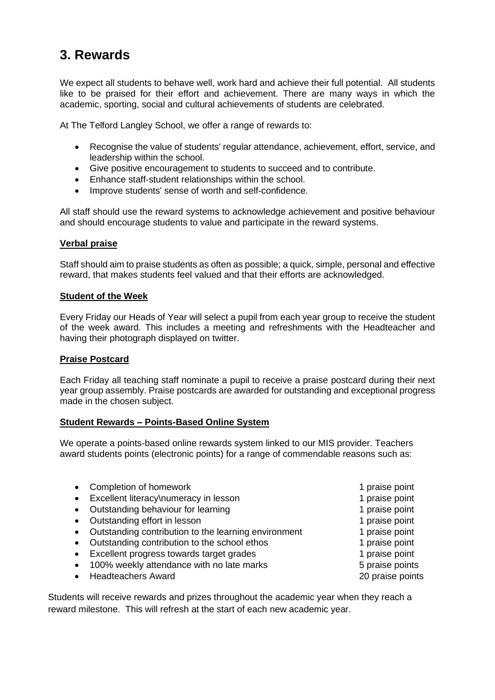# <span id="page-6-0"></span>**3. Rewards**

We expect all students to behave well, work hard and achieve their full potential. All students like to be praised for their effort and achievement. There are many ways in which the academic, sporting, social and cultural achievements of students are celebrated.

At The Telford Langley School, we offer a range of rewards to:

- Recognise the value of students' regular attendance, achievement, effort, service, and leadership within the school.
- Give positive encouragement to students to succeed and to contribute.
- Enhance staff-student relationships within the school.
- Improve students' sense of worth and self-confidence.

All staff should use the reward systems to acknowledge achievement and positive behaviour and should encourage students to value and participate in the reward systems.

### **Verbal praise**

Staff should aim to praise students as often as possible; a quick, simple, personal and effective reward, that makes students feel valued and that their efforts are acknowledged.

#### **Student of the Week**

Every Friday our Heads of Year will select a pupil from each year group to receive the student of the week award. This includes a meeting and refreshments with the Headteacher and having their photograph displayed on twitter.

### **Praise Postcard**

Each Friday all teaching staff nominate a pupil to receive a praise postcard during their next year group assembly. Praise postcards are awarded for outstanding and exceptional progress made in the chosen subject.

### **Student Rewards – Points-Based Online System**

We operate a points-based online rewards system linked to our MIS provider. Teachers award students points (electronic points) for a range of commendable reasons such as:

- Completion of homework **1** praise point • Excellent literacy\numeracy in lesson 1 praise point • Outstanding behaviour for learning 1 praise point • Outstanding effort in lesson 1 praise point • Outstanding contribution to the learning environment 1 praise point • Outstanding contribution to the school ethos 1 praise point • Excellent progress towards target grades 1 praise point • 100% weekly attendance with no late marks Theorem 3.5 praise points • Headteachers Award 20 praise points
- Students will receive rewards and prizes throughout the academic year when they reach a reward milestone. This will refresh at the start of each new academic year.
- 
-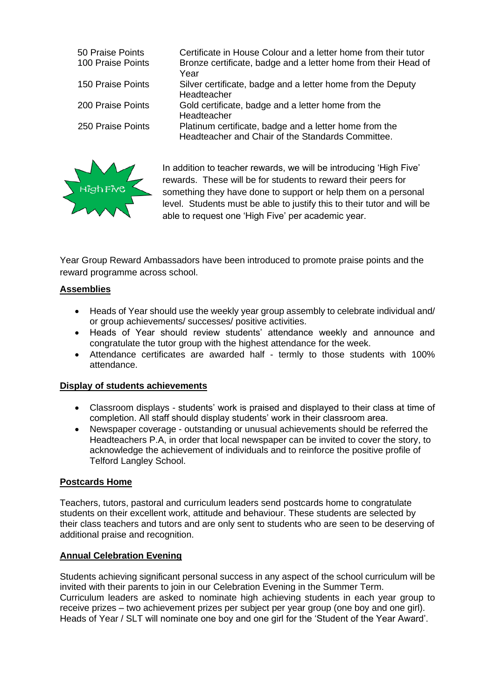| 50 Praise Points<br>100 Praise Points | Certificate in House Colour and a letter home from their tutor<br>Bronze certificate, badge and a letter home from their Head of<br>Year |
|---------------------------------------|------------------------------------------------------------------------------------------------------------------------------------------|
| 150 Praise Points                     | Silver certificate, badge and a letter home from the Deputy<br>Headteacher                                                               |
| 200 Praise Points                     | Gold certificate, badge and a letter home from the<br>Headteacher                                                                        |
| 250 Praise Points                     | Platinum certificate, badge and a letter home from the<br>Headteacher and Chair of the Standards Committee.                              |



In addition to teacher rewards, we will be introducing 'High Five' rewards. These will be for students to reward their peers for something they have done to support or help them on a personal level. Students must be able to justify this to their tutor and will be able to request one 'High Five' per academic year.

Year Group Reward Ambassadors have been introduced to promote praise points and the reward programme across school.

### **Assemblies**

- Heads of Year should use the weekly year group assembly to celebrate individual and/ or group achievements/ successes/ positive activities.
- Heads of Year should review students' attendance weekly and announce and congratulate the tutor group with the highest attendance for the week.
- Attendance certificates are awarded half termly to those students with 100% attendance.

### **Display of students achievements**

- Classroom displays students' work is praised and displayed to their class at time of completion. All staff should display students' work in their classroom area.
- Newspaper coverage outstanding or unusual achievements should be referred the Headteachers P.A, in order that local newspaper can be invited to cover the story, to acknowledge the achievement of individuals and to reinforce the positive profile of Telford Langley School.

### **Postcards Home**

Teachers, tutors, pastoral and curriculum leaders send postcards home to congratulate students on their excellent work, attitude and behaviour. These students are selected by their class teachers and tutors and are only sent to students who are seen to be deserving of additional praise and recognition.

### **Annual Celebration Evening**

Students achieving significant personal success in any aspect of the school curriculum will be invited with their parents to join in our Celebration Evening in the Summer Term. Curriculum leaders are asked to nominate high achieving students in each year group to receive prizes – two achievement prizes per subject per year group (one boy and one girl). Heads of Year / SLT will nominate one boy and one girl for the 'Student of the Year Award'.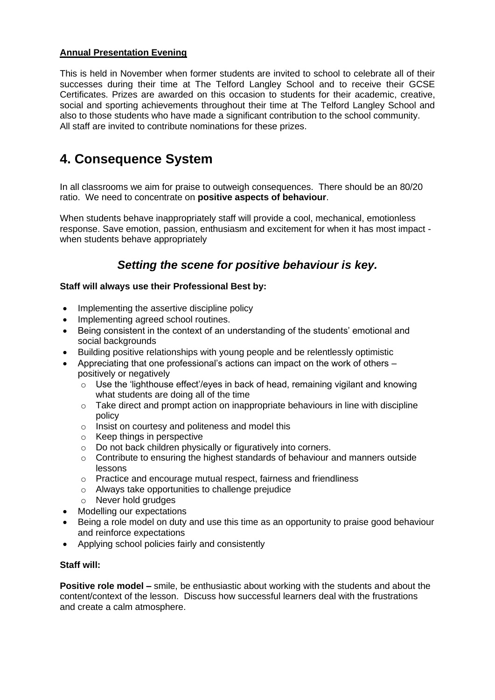### **Annual Presentation Evening**

This is held in November when former students are invited to school to celebrate all of their successes during their time at The Telford Langley School and to receive their GCSE Certificates. Prizes are awarded on this occasion to students for their academic, creative, social and sporting achievements throughout their time at The Telford Langley School and also to those students who have made a significant contribution to the school community. All staff are invited to contribute nominations for these prizes.

## <span id="page-8-0"></span>**4. Consequence System**

In all classrooms we aim for praise to outweigh consequences. There should be an 80/20 ratio. We need to concentrate on **positive aspects of behaviour**.

When students behave inappropriately staff will provide a cool, mechanical, emotionless response. Save emotion, passion, enthusiasm and excitement for when it has most impact when students behave appropriately

### *Setting the scene for positive behaviour is key.*

### **Staff will always use their Professional Best by:**

- Implementing the assertive discipline policy
- Implementing agreed school routines.
- Being consistent in the context of an understanding of the students' emotional and social backgrounds
- Building positive relationships with young people and be relentlessly optimistic
- Appreciating that one professional's actions can impact on the work of others positively or negatively
	- $\circ$  Use the 'lighthouse effect'/eyes in back of head, remaining vigilant and knowing what students are doing all of the time
	- $\circ$  Take direct and prompt action on inappropriate behaviours in line with discipline policy
	- o Insist on courtesy and politeness and model this
	- o Keep things in perspective
	- o Do not back children physically or figuratively into corners.
	- o Contribute to ensuring the highest standards of behaviour and manners outside lessons
	- o Practice and encourage mutual respect, fairness and friendliness
	- o Always take opportunities to challenge prejudice
	- o Never hold grudges
- Modelling our expectations
- Being a role model on duty and use this time as an opportunity to praise good behaviour and reinforce expectations
- Applying school policies fairly and consistently

### **Staff will:**

**Positive role model –** smile, be enthusiastic about working with the students and about the content/context of the lesson. Discuss how successful learners deal with the frustrations and create a calm atmosphere.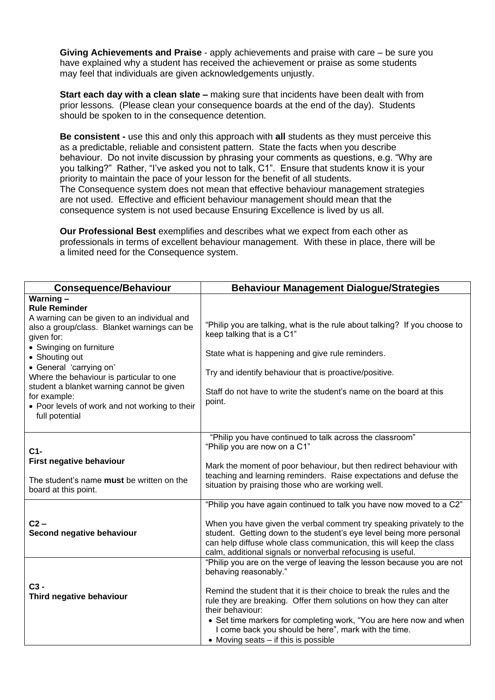**Giving Achievements and Praise** - apply achievements and praise with care – be sure you have explained why a student has received the achievement or praise as some students may feel that individuals are given acknowledgements unjustly.

**Start each day with a clean slate –** making sure that incidents have been dealt with from prior lessons. (Please clean your consequence boards at the end of the day). Students should be spoken to in the consequence detention.

**Be consistent -** use this and only this approach with **all** students as they must perceive this as a predictable, reliable and consistent pattern. State the facts when you describe behaviour. Do not invite discussion by phrasing your comments as questions, e.g. "Why are you talking?" Rather, "I've asked you not to talk, C1". Ensure that students know it is your priority to maintain the pace of your lesson for the benefit of all students. The Consequence system does not mean that effective behaviour management strategies are not used. Effective and efficient behaviour management should mean that the consequence system is not used because Ensuring Excellence is lived by us all.

**Our Professional Best** exemplifies and describes what we expect from each other as professionals in terms of excellent behaviour management. With these in place, there will be a limited need for the Consequence system.

| <b>Consequence/Behaviour</b>                                                                                                                                                                                                                                                                                                                                                                      | <b>Behaviour Management Dialogue/Strategies</b>                                                                                                                                                                                                                                                                                                                                                                                                    |
|---------------------------------------------------------------------------------------------------------------------------------------------------------------------------------------------------------------------------------------------------------------------------------------------------------------------------------------------------------------------------------------------------|----------------------------------------------------------------------------------------------------------------------------------------------------------------------------------------------------------------------------------------------------------------------------------------------------------------------------------------------------------------------------------------------------------------------------------------------------|
| Warning-<br><b>Rule Reminder</b><br>A warning can be given to an individual and<br>also a group/class. Blanket warnings can be<br>given for:<br>• Swinging on furniture<br>• Shouting out<br>• General 'carrying on'<br>Where the behaviour is particular to one<br>student a blanket warning cannot be given<br>for example:<br>• Poor levels of work and not working to their<br>full potential | "Philip you are talking, what is the rule about talking? If you choose to<br>keep talking that is a C1"<br>State what is happening and give rule reminders.<br>Try and identify behaviour that is proactive/positive.<br>Staff do not have to write the student's name on the board at this<br>point.                                                                                                                                              |
| $C1-$<br>First negative behaviour<br>The student's name must be written on the<br>board at this point.                                                                                                                                                                                                                                                                                            | "Philip you have continued to talk across the classroom"<br>"Philip you are now on a C1"<br>Mark the moment of poor behaviour, but then redirect behaviour with<br>teaching and learning reminders. Raise expectations and defuse the<br>situation by praising those who are working well.                                                                                                                                                         |
| $C2 -$<br>Second negative behaviour                                                                                                                                                                                                                                                                                                                                                               | "Philip you have again continued to talk you have now moved to a C2"<br>When you have given the verbal comment try speaking privately to the<br>student. Getting down to the student's eye level being more personal<br>can help diffuse whole class communication, this will keep the class<br>calm, additional signals or nonverbal refocusing is useful.                                                                                        |
| $C3 -$<br>Third negative behaviour                                                                                                                                                                                                                                                                                                                                                                | "Philip you are on the verge of leaving the lesson because you are not<br>behaving reasonably."<br>Remind the student that it is their choice to break the rules and the<br>rule they are breaking. Offer them solutions on how they can alter<br>their behaviour:<br>• Set time markers for completing work, "You are here now and when<br>I come back you should be here", mark with the time.<br>$\bullet$ Moving seats $-$ if this is possible |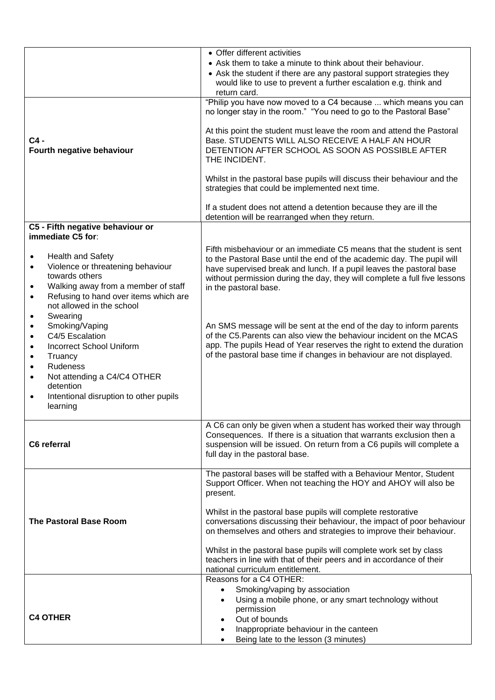|                                                                                                                                                                                                                                                                                          | • Offer different activities                                                                                                                                                                                                                                                                                                                                                                                                                                                                                                                           |
|------------------------------------------------------------------------------------------------------------------------------------------------------------------------------------------------------------------------------------------------------------------------------------------|--------------------------------------------------------------------------------------------------------------------------------------------------------------------------------------------------------------------------------------------------------------------------------------------------------------------------------------------------------------------------------------------------------------------------------------------------------------------------------------------------------------------------------------------------------|
|                                                                                                                                                                                                                                                                                          | • Ask them to take a minute to think about their behaviour.<br>• Ask the student if there are any pastoral support strategies they<br>would like to use to prevent a further escalation e.g. think and<br>return card.                                                                                                                                                                                                                                                                                                                                 |
|                                                                                                                                                                                                                                                                                          | "Philip you have now moved to a C4 because  which means you can<br>no longer stay in the room." "You need to go to the Pastoral Base"                                                                                                                                                                                                                                                                                                                                                                                                                  |
| $C4 -$<br>Fourth negative behaviour                                                                                                                                                                                                                                                      | At this point the student must leave the room and attend the Pastoral<br>Base. STUDENTS WILL ALSO RECEIVE A HALF AN HOUR<br>DETENTION AFTER SCHOOL AS SOON AS POSSIBLE AFTER<br>THE INCIDENT.                                                                                                                                                                                                                                                                                                                                                          |
|                                                                                                                                                                                                                                                                                          | Whilst in the pastoral base pupils will discuss their behaviour and the<br>strategies that could be implemented next time.                                                                                                                                                                                                                                                                                                                                                                                                                             |
|                                                                                                                                                                                                                                                                                          | If a student does not attend a detention because they are ill the<br>detention will be rearranged when they return.                                                                                                                                                                                                                                                                                                                                                                                                                                    |
| C5 - Fifth negative behaviour or<br>immediate C5 for:                                                                                                                                                                                                                                    |                                                                                                                                                                                                                                                                                                                                                                                                                                                                                                                                                        |
| <b>Health and Safety</b><br>$\bullet$<br>Violence or threatening behaviour<br>$\bullet$<br>towards others<br>Walking away from a member of staff<br>$\bullet$<br>Refusing to hand over items which are<br>$\bullet$<br>not allowed in the school<br>Swearing<br>$\bullet$                | Fifth misbehaviour or an immediate C5 means that the student is sent<br>to the Pastoral Base until the end of the academic day. The pupil will<br>have supervised break and lunch. If a pupil leaves the pastoral base<br>without permission during the day, they will complete a full five lessons<br>in the pastoral base.                                                                                                                                                                                                                           |
| Smoking/Vaping<br>$\bullet$<br>C4/5 Escalation<br>$\bullet$<br><b>Incorrect School Uniform</b><br>$\bullet$<br>Truancy<br>$\bullet$<br>Rudeness<br>$\bullet$<br>Not attending a C4/C4 OTHER<br>$\bullet$<br>detention<br>Intentional disruption to other pupils<br>$\bullet$<br>learning | An SMS message will be sent at the end of the day to inform parents<br>of the C5. Parents can also view the behaviour incident on the MCAS<br>app. The pupils Head of Year reserves the right to extend the duration<br>of the pastoral base time if changes in behaviour are not displayed.                                                                                                                                                                                                                                                           |
| C6 referral                                                                                                                                                                                                                                                                              | A C6 can only be given when a student has worked their way through<br>Consequences. If there is a situation that warrants exclusion then a<br>suspension will be issued. On return from a C6 pupils will complete a<br>full day in the pastoral base.                                                                                                                                                                                                                                                                                                  |
| <b>The Pastoral Base Room</b>                                                                                                                                                                                                                                                            | The pastoral bases will be staffed with a Behaviour Mentor, Student<br>Support Officer. When not teaching the HOY and AHOY will also be<br>present.<br>Whilst in the pastoral base pupils will complete restorative<br>conversations discussing their behaviour, the impact of poor behaviour<br>on themselves and others and strategies to improve their behaviour.<br>Whilst in the pastoral base pupils will complete work set by class<br>teachers in line with that of their peers and in accordance of their<br>national curriculum entitlement. |
|                                                                                                                                                                                                                                                                                          | Reasons for a C4 OTHER:                                                                                                                                                                                                                                                                                                                                                                                                                                                                                                                                |
| <b>C4 OTHER</b>                                                                                                                                                                                                                                                                          | Smoking/vaping by association<br>Using a mobile phone, or any smart technology without<br>permission<br>Out of bounds<br>Inappropriate behaviour in the canteen<br>Being late to the lesson (3 minutes)                                                                                                                                                                                                                                                                                                                                                |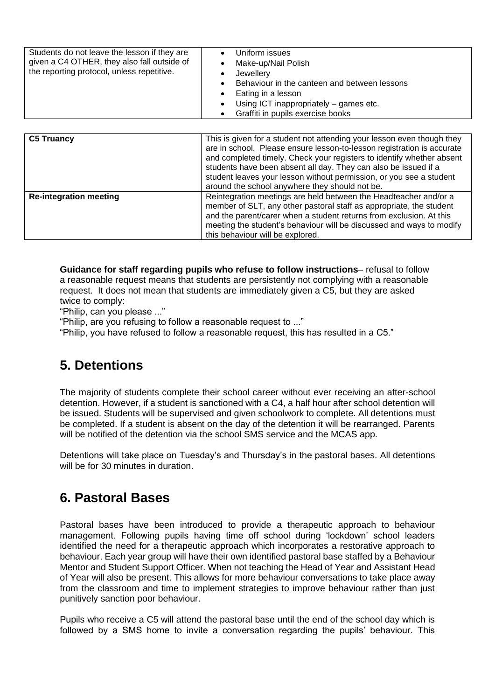| Students do not leave the lesson if they are<br>given a C4 OTHER, they also fall outside of<br>the reporting protocol, unless repetitive. | Uniform issues<br>Make-up/Nail Polish<br>Jewellery<br>Behaviour in the canteen and between lessons<br>Eating in a lesson<br>Using ICT inappropriately - games etc.<br>Graffiti in pupils exercise books |
|-------------------------------------------------------------------------------------------------------------------------------------------|---------------------------------------------------------------------------------------------------------------------------------------------------------------------------------------------------------|
|-------------------------------------------------------------------------------------------------------------------------------------------|---------------------------------------------------------------------------------------------------------------------------------------------------------------------------------------------------------|

| <b>C5 Truancy</b>             | This is given for a student not attending your lesson even though they<br>are in school. Please ensure lesson-to-lesson registration is accurate<br>and completed timely. Check your registers to identify whether absent<br>students have been absent all day. They can also be issued if a<br>student leaves your lesson without permission, or you see a student<br>around the school anywhere they should not be. |
|-------------------------------|-----------------------------------------------------------------------------------------------------------------------------------------------------------------------------------------------------------------------------------------------------------------------------------------------------------------------------------------------------------------------------------------------------------------------|
| <b>Re-integration meeting</b> | Reintegration meetings are held between the Headteacher and/or a<br>member of SLT, any other pastoral staff as appropriate, the student<br>and the parent/carer when a student returns from exclusion. At this<br>meeting the student's behaviour will be discussed and ways to modify<br>this behaviour will be explored.                                                                                            |

**Guidance for staff regarding pupils who refuse to follow instructions**– refusal to follow a reasonable request means that students are persistently not complying with a reasonable request. It does not mean that students are immediately given a C5, but they are asked twice to comply:

"Philip, can you please ..."

"Philip, are you refusing to follow a reasonable request to ..."

"Philip, you have refused to follow a reasonable request, this has resulted in a C5."

## <span id="page-11-0"></span>**5. Detentions**

The majority of students complete their school career without ever receiving an after-school detention. However, if a student is sanctioned with a C4, a half hour after school detention will be issued. Students will be supervised and given schoolwork to complete. All detentions must be completed. If a student is absent on the day of the detention it will be rearranged. Parents will be notified of the detention via the school SMS service and the MCAS app.

Detentions will take place on Tuesday's and Thursday's in the pastoral bases. All detentions will be for 30 minutes in duration.

### <span id="page-11-1"></span>**6. Pastoral Bases**

Pastoral bases have been introduced to provide a therapeutic approach to behaviour management. Following pupils having time off school during 'lockdown' school leaders identified the need for a therapeutic approach which incorporates a restorative approach to behaviour. Each year group will have their own identified pastoral base staffed by a Behaviour Mentor and Student Support Officer. When not teaching the Head of Year and Assistant Head of Year will also be present. This allows for more behaviour conversations to take place away from the classroom and time to implement strategies to improve behaviour rather than just punitively sanction poor behaviour.

Pupils who receive a C5 will attend the pastoral base until the end of the school day which is followed by a SMS home to invite a conversation regarding the pupils' behaviour. This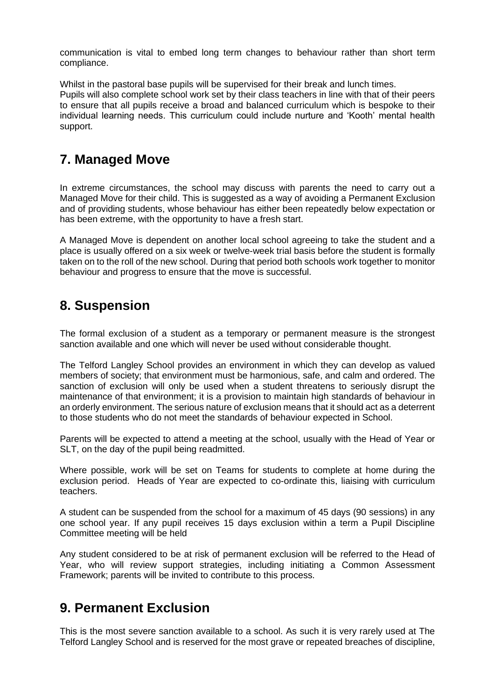communication is vital to embed long term changes to behaviour rather than short term compliance.

Whilst in the pastoral base pupils will be supervised for their break and lunch times.

Pupils will also complete school work set by their class teachers in line with that of their peers to ensure that all pupils receive a broad and balanced curriculum which is bespoke to their individual learning needs. This curriculum could include nurture and 'Kooth' mental health support.

## <span id="page-12-0"></span>**7. Managed Move**

In extreme circumstances, the school may discuss with parents the need to carry out a Managed Move for their child. This is suggested as a way of avoiding a Permanent Exclusion and of providing students, whose behaviour has either been repeatedly below expectation or has been extreme, with the opportunity to have a fresh start.

A Managed Move is dependent on another local school agreeing to take the student and a place is usually offered on a six week or twelve-week trial basis before the student is formally taken on to the roll of the new school. During that period both schools work together to monitor behaviour and progress to ensure that the move is successful.

### <span id="page-12-1"></span>**8. Suspension**

The formal exclusion of a student as a temporary or permanent measure is the strongest sanction available and one which will never be used without considerable thought.

The Telford Langley School provides an environment in which they can develop as valued members of society; that environment must be harmonious, safe, and calm and ordered. The sanction of exclusion will only be used when a student threatens to seriously disrupt the maintenance of that environment; it is a provision to maintain high standards of behaviour in an orderly environment. The serious nature of exclusion means that it should act as a deterrent to those students who do not meet the standards of behaviour expected in School.

Parents will be expected to attend a meeting at the school, usually with the Head of Year or SLT, on the day of the pupil being readmitted.

Where possible, work will be set on Teams for students to complete at home during the exclusion period. Heads of Year are expected to co-ordinate this, liaising with curriculum teachers.

A student can be suspended from the school for a maximum of 45 days (90 sessions) in any one school year. If any pupil receives 15 days exclusion within a term a Pupil Discipline Committee meeting will be held

Any student considered to be at risk of permanent exclusion will be referred to the Head of Year, who will review support strategies, including initiating a Common Assessment Framework; parents will be invited to contribute to this process.

### <span id="page-12-2"></span>**9. Permanent Exclusion**

This is the most severe sanction available to a school. As such it is very rarely used at The Telford Langley School and is reserved for the most grave or repeated breaches of discipline,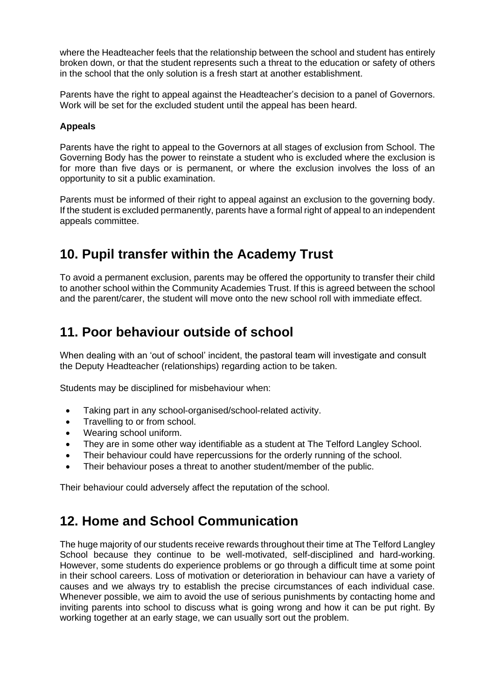where the Headteacher feels that the relationship between the school and student has entirely broken down, or that the student represents such a threat to the education or safety of others in the school that the only solution is a fresh start at another establishment.

Parents have the right to appeal against the Headteacher's decision to a panel of Governors. Work will be set for the excluded student until the appeal has been heard.

### **Appeals**

Parents have the right to appeal to the Governors at all stages of exclusion from School. The Governing Body has the power to reinstate a student who is excluded where the exclusion is for more than five days or is permanent, or where the exclusion involves the loss of an opportunity to sit a public examination.

Parents must be informed of their right to appeal against an exclusion to the governing body. If the student is excluded permanently, parents have a formal right of appeal to an independent appeals committee.

## <span id="page-13-0"></span>**10. Pupil transfer within the Academy Trust**

To avoid a permanent exclusion, parents may be offered the opportunity to transfer their child to another school within the Community Academies Trust. If this is agreed between the school and the parent/carer, the student will move onto the new school roll with immediate effect.

## <span id="page-13-1"></span>**11. Poor behaviour outside of school**

When dealing with an 'out of school' incident, the pastoral team will investigate and consult the Deputy Headteacher (relationships) regarding action to be taken.

Students may be disciplined for misbehaviour when:

- Taking part in any school-organised/school-related activity.
- Travelling to or from school.
- Wearing school uniform.
- They are in some other way identifiable as a student at The Telford Langley School.
- Their behaviour could have repercussions for the orderly running of the school.
- Their behaviour poses a threat to another student/member of the public.

Their behaviour could adversely affect the reputation of the school.

### <span id="page-13-2"></span>**12. Home and School Communication**

The huge majority of our students receive rewards throughout their time at The Telford Langley School because they continue to be well-motivated, self-disciplined and hard-working. However, some students do experience problems or go through a difficult time at some point in their school careers. Loss of motivation or deterioration in behaviour can have a variety of causes and we always try to establish the precise circumstances of each individual case. Whenever possible, we aim to avoid the use of serious punishments by contacting home and inviting parents into school to discuss what is going wrong and how it can be put right. By working together at an early stage, we can usually sort out the problem.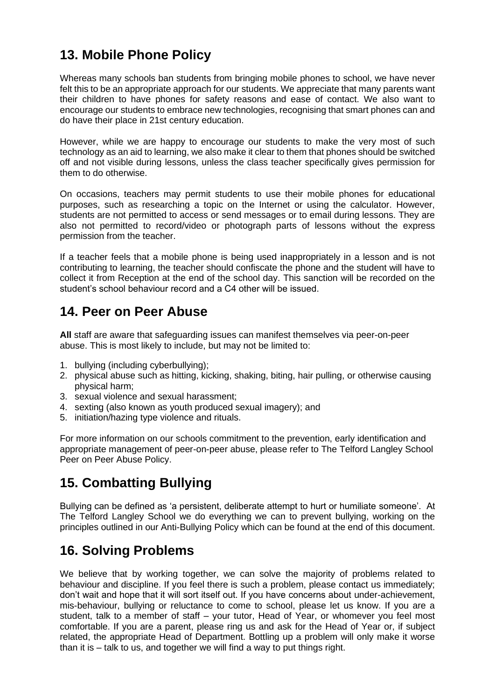# <span id="page-14-0"></span>**13. Mobile Phone Policy**

Whereas many schools ban students from bringing mobile phones to school, we have never felt this to be an appropriate approach for our students. We appreciate that many parents want their children to have phones for safety reasons and ease of contact. We also want to encourage our students to embrace new technologies, recognising that smart phones can and do have their place in 21st century education.

However, while we are happy to encourage our students to make the very most of such technology as an aid to learning, we also make it clear to them that phones should be switched off and not visible during lessons, unless the class teacher specifically gives permission for them to do otherwise.

On occasions, teachers may permit students to use their mobile phones for educational purposes, such as researching a topic on the Internet or using the calculator. However, students are not permitted to access or send messages or to email during lessons. They are also not permitted to record/video or photograph parts of lessons without the express permission from the teacher.

If a teacher feels that a mobile phone is being used inappropriately in a lesson and is not contributing to learning, the teacher should confiscate the phone and the student will have to collect it from Reception at the end of the school day. This sanction will be recorded on the student's school behaviour record and a C4 other will be issued.

## <span id="page-14-1"></span>**14. Peer on Peer Abuse**

**All** staff are aware that safeguarding issues can manifest themselves via peer-on-peer abuse. This is most likely to include, but may not be limited to:

- 1. bullying (including cyberbullying);
- 2. physical abuse such as hitting, kicking, shaking, biting, hair pulling, or otherwise causing physical harm;
- 3. sexual violence and sexual harassment;
- 4. sexting (also known as youth produced sexual imagery); and
- 5. initiation/hazing type violence and rituals.

For more information on our schools commitment to the prevention, early identification and appropriate management of peer-on-peer abuse, please refer to The Telford Langley School Peer on Peer Abuse Policy.

## <span id="page-14-2"></span>**15. Combatting Bullying**

Bullying can be defined as 'a persistent, deliberate attempt to hurt or humiliate someone'. At The Telford Langley School we do everything we can to prevent bullying, working on the principles outlined in our Anti-Bullying Policy which can be found at the end of this document.

# <span id="page-14-3"></span>**16. Solving Problems**

We believe that by working together, we can solve the majority of problems related to behaviour and discipline. If you feel there is such a problem, please contact us immediately; don't wait and hope that it will sort itself out. If you have concerns about under-achievement, mis-behaviour, bullying or reluctance to come to school, please let us know. If you are a student, talk to a member of staff – your tutor, Head of Year, or whomever you feel most comfortable. If you are a parent, please ring us and ask for the Head of Year or, if subject related, the appropriate Head of Department. Bottling up a problem will only make it worse than it is – talk to us, and together we will find a way to put things right.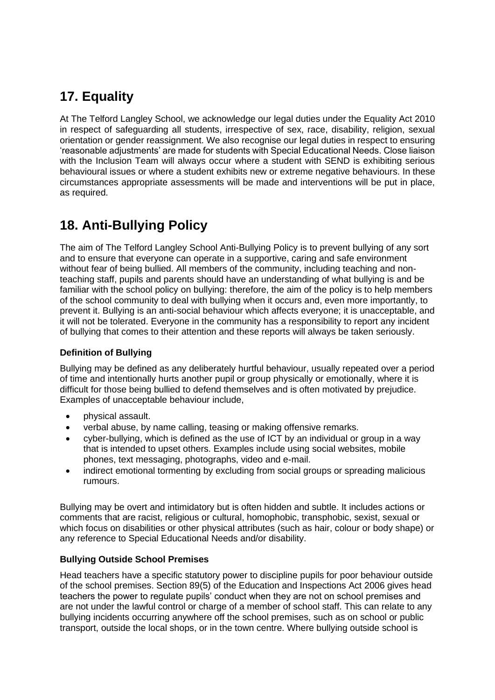# <span id="page-15-0"></span>**17. Equality**

At The Telford Langley School, we acknowledge our legal duties under the Equality Act 2010 in respect of safeguarding all students, irrespective of sex, race, disability, religion, sexual orientation or gender reassignment. We also recognise our legal duties in respect to ensuring 'reasonable adjustments' are made for students with Special Educational Needs. Close liaison with the Inclusion Team will always occur where a student with SEND is exhibiting serious behavioural issues or where a student exhibits new or extreme negative behaviours. In these circumstances appropriate assessments will be made and interventions will be put in place, as required.

# <span id="page-15-1"></span>**18. Anti-Bullying Policy**

The aim of The Telford Langley School Anti-Bullying Policy is to prevent bullying of any sort and to ensure that everyone can operate in a supportive, caring and safe environment without fear of being bullied. All members of the community, including teaching and nonteaching staff, pupils and parents should have an understanding of what bullying is and be familiar with the school policy on bullying: therefore, the aim of the policy is to help members of the school community to deal with bullying when it occurs and, even more importantly, to prevent it. Bullying is an anti-social behaviour which affects everyone; it is unacceptable, and it will not be tolerated. Everyone in the community has a responsibility to report any incident of bullying that comes to their attention and these reports will always be taken seriously.

### **Definition of Bullying**

Bullying may be defined as any deliberately hurtful behaviour, usually repeated over a period of time and intentionally hurts another pupil or group physically or emotionally, where it is difficult for those being bullied to defend themselves and is often motivated by prejudice. Examples of unacceptable behaviour include,

- physical assault.
- verbal abuse, by name calling, teasing or making offensive remarks.
- cyber-bullying, which is defined as the use of ICT by an individual or group in a way that is intended to upset others. Examples include using social websites, mobile phones, text messaging, photographs, video and e-mail.
- indirect emotional tormenting by excluding from social groups or spreading malicious rumours.

Bullying may be overt and intimidatory but is often hidden and subtle. It includes actions or comments that are racist, religious or cultural, homophobic, transphobic, sexist, sexual or which focus on disabilities or other physical attributes (such as hair, colour or body shape) or any reference to Special Educational Needs and/or disability.

### **Bullying Outside School Premises**

Head teachers have a specific statutory power to discipline pupils for poor behaviour outside of the school premises. Section 89(5) of the Education and Inspections Act 2006 gives head teachers the power to regulate pupils' conduct when they are not on school premises and are not under the lawful control or charge of a member of school staff. This can relate to any bullying incidents occurring anywhere off the school premises, such as on school or public transport, outside the local shops, or in the town centre. Where bullying outside school is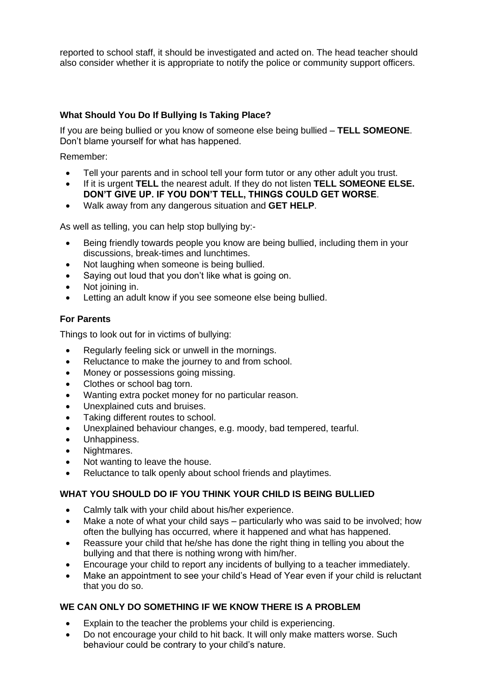reported to school staff, it should be investigated and acted on. The head teacher should also consider whether it is appropriate to notify the police or community support officers.

### **What Should You Do If Bullying Is Taking Place?**

If you are being bullied or you know of someone else being bullied – **TELL SOMEONE**. Don't blame yourself for what has happened.

Remember:

- Tell your parents and in school tell your form tutor or any other adult you trust.
- If it is urgent **TELL** the nearest adult. If they do not listen **TELL SOMEONE ELSE. DON'T GIVE UP. IF YOU DON'T TELL, THINGS COULD GET WORSE**.
- Walk away from any dangerous situation and **GET HELP**.

As well as telling, you can help stop bullying by:-

- Being friendly towards people you know are being bullied, including them in your discussions, break-times and lunchtimes.
- Not laughing when someone is being bullied.
- Saying out loud that you don't like what is going on.
- Not joining in.
- Letting an adult know if you see someone else being bullied.

### **For Parents**

Things to look out for in victims of bullying:

- Regularly feeling sick or unwell in the mornings.
- Reluctance to make the journey to and from school.
- Money or possessions going missing.
- Clothes or school bag torn.
- Wanting extra pocket money for no particular reason.
- Unexplained cuts and bruises.
- Taking different routes to school.
- Unexplained behaviour changes, e.g. moody, bad tempered, tearful.
- Unhappiness.
- Nightmares.
- Not wanting to leave the house.
- Reluctance to talk openly about school friends and playtimes.

### **WHAT YOU SHOULD DO IF YOU THINK YOUR CHILD IS BEING BULLIED**

- Calmly talk with your child about his/her experience.
- Make a note of what your child says particularly who was said to be involved; how often the bullying has occurred, where it happened and what has happened.
- Reassure your child that he/she has done the right thing in telling you about the bullying and that there is nothing wrong with him/her.
- Encourage your child to report any incidents of bullying to a teacher immediately.
- Make an appointment to see your child's Head of Year even if your child is reluctant that you do so.

### **WE CAN ONLY DO SOMETHING IF WE KNOW THERE IS A PROBLEM**

- Explain to the teacher the problems your child is experiencing.
- Do not encourage your child to hit back. It will only make matters worse. Such behaviour could be contrary to your child's nature.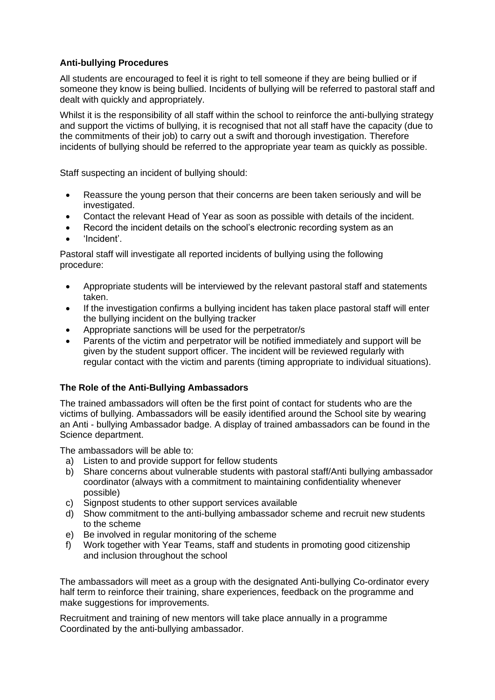### **Anti-bullying Procedures**

All students are encouraged to feel it is right to tell someone if they are being bullied or if someone they know is being bullied. Incidents of bullying will be referred to pastoral staff and dealt with quickly and appropriately.

Whilst it is the responsibility of all staff within the school to reinforce the anti-bullying strategy and support the victims of bullying, it is recognised that not all staff have the capacity (due to the commitments of their job) to carry out a swift and thorough investigation. Therefore incidents of bullying should be referred to the appropriate year team as quickly as possible.

Staff suspecting an incident of bullying should:

- Reassure the young person that their concerns are been taken seriously and will be investigated.
- Contact the relevant Head of Year as soon as possible with details of the incident.
- Record the incident details on the school's electronic recording system as an
- 'Incident'.

Pastoral staff will investigate all reported incidents of bullying using the following procedure:

- Appropriate students will be interviewed by the relevant pastoral staff and statements taken.
- If the investigation confirms a bullying incident has taken place pastoral staff will enter the bullying incident on the bullying tracker
- Appropriate sanctions will be used for the perpetrator/s
- Parents of the victim and perpetrator will be notified immediately and support will be given by the student support officer. The incident will be reviewed regularly with regular contact with the victim and parents (timing appropriate to individual situations).

### **The Role of the Anti-Bullying Ambassadors**

The trained ambassadors will often be the first point of contact for students who are the victims of bullying. Ambassadors will be easily identified around the School site by wearing an Anti - bullying Ambassador badge. A display of trained ambassadors can be found in the Science department.

The ambassadors will be able to:

- a) Listen to and provide support for fellow students
- b) Share concerns about vulnerable students with pastoral staff/Anti bullying ambassador coordinator (always with a commitment to maintaining confidentiality whenever possible)
- c) Signpost students to other support services available
- d) Show commitment to the anti-bullying ambassador scheme and recruit new students to the scheme
- e) Be involved in regular monitoring of the scheme
- f) Work together with Year Teams, staff and students in promoting good citizenship and inclusion throughout the school

The ambassadors will meet as a group with the designated Anti-bullying Co-ordinator every half term to reinforce their training, share experiences, feedback on the programme and make suggestions for improvements.

Recruitment and training of new mentors will take place annually in a programme Coordinated by the anti-bullying ambassador.